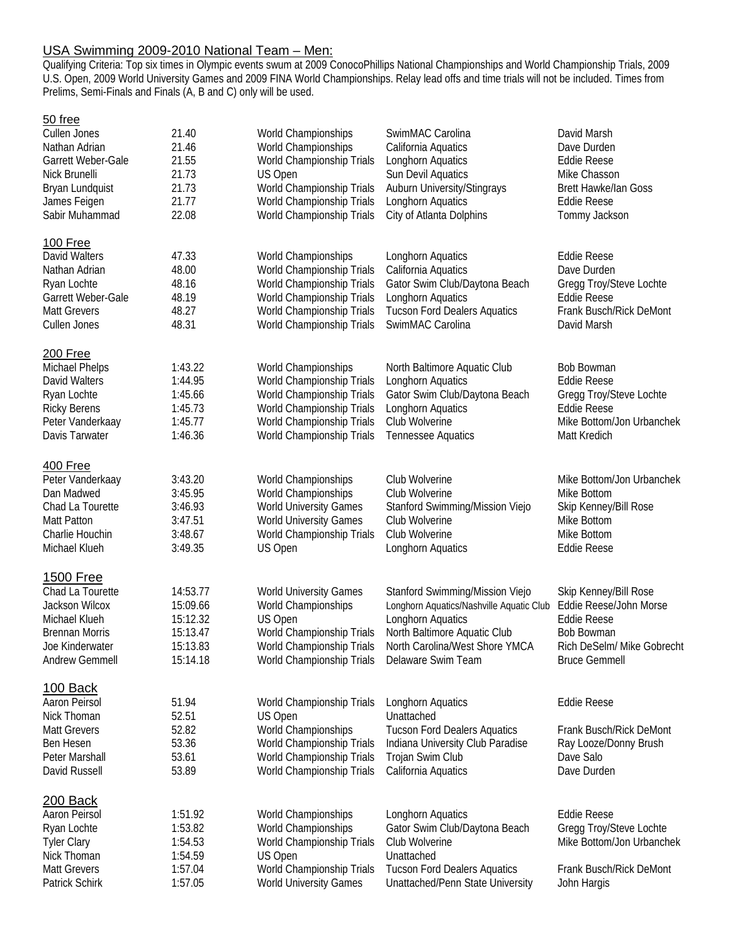# USA Swimming 2009-2010 National Team – Men:

Qualifying Criteria: Top six times in Olympic events swum at 2009 ConocoPhillips National Championships and World Championship Trials, 2009 U.S. Open, 2009 World University Games and 2009 FINA World Championships. Relay lead offs and time trials will not be included. Times from Prelims, Semi-Finals and Finals (A, B and C) only will be used.

# 50 free

| Cullen Jones          | 21.40    | World Championships                           | SwimMAC Carolina                         | David Marsh                 |
|-----------------------|----------|-----------------------------------------------|------------------------------------------|-----------------------------|
| Nathan Adrian         | 21.46    | World Championships                           | California Aquatics                      | Dave Durden                 |
| Garrett Weber-Gale    | 21.55    | World Championship Trials                     | Longhorn Aquatics                        | <b>Eddie Reese</b>          |
| Nick Brunelli         | 21.73    | US Open                                       | Sun Devil Aquatics                       | Mike Chasson                |
| Bryan Lundquist       | 21.73    | World Championship Trials                     | Auburn University/Stingrays              | <b>Brett Hawke/Ian Goss</b> |
| James Feigen          | 21.77    | World Championship Trials                     | Longhorn Aquatics                        | Eddie Reese                 |
| Sabir Muhammad        | 22.08    | World Championship Trials                     | City of Atlanta Dolphins                 | Tommy Jackson               |
| 100 Free              |          |                                               |                                          |                             |
| David Walters         | 47.33    | World Championships                           | Longhorn Aquatics                        | <b>Eddie Reese</b>          |
| Nathan Adrian         | 48.00    | World Championship Trials                     | California Aquatics                      | Dave Durden                 |
| Ryan Lochte           | 48.16    | World Championship Trials                     | Gator Swim Club/Daytona Beach            | Gregg Troy/Steve Lochte     |
| Garrett Weber-Gale    | 48.19    | World Championship Trials                     | Longhorn Aquatics                        | <b>Eddie Reese</b>          |
| <b>Matt Grevers</b>   | 48.27    | World Championship Trials                     | <b>Tucson Ford Dealers Aquatics</b>      | Frank Busch/Rick DeMont     |
| Cullen Jones          | 48.31    | World Championship Trials                     | SwimMAC Carolina                         | David Marsh                 |
|                       |          |                                               |                                          |                             |
| 200 Free              |          |                                               |                                          |                             |
| Michael Phelps        | 1:43.22  | World Championships                           | North Baltimore Aquatic Club             | Bob Bowman                  |
| David Walters         | 1:44.95  | World Championship Trials                     | Longhorn Aquatics                        | <b>Eddie Reese</b>          |
| Ryan Lochte           | 1:45.66  | World Championship Trials                     | Gator Swim Club/Daytona Beach            | Gregg Troy/Steve Lochte     |
| <b>Ricky Berens</b>   | 1:45.73  | World Championship Trials                     | Longhorn Aquatics                        | <b>Eddie Reese</b>          |
| Peter Vanderkaay      | 1:45.77  | World Championship Trials                     | Club Wolverine                           | Mike Bottom/Jon Urbanchek   |
| Davis Tarwater        | 1:46.36  | World Championship Trials                     | Tennessee Aquatics                       | Matt Kredich                |
| 400 Free              |          |                                               |                                          |                             |
| Peter Vanderkaay      | 3:43.20  | World Championships                           | Club Wolverine                           | Mike Bottom/Jon Urbanchek   |
| Dan Madwed            | 3:45.95  | World Championships                           | Club Wolverine                           | Mike Bottom                 |
| Chad La Tourette      | 3:46.93  | World University Games                        | Stanford Swimming/Mission Viejo          | Skip Kenney/Bill Rose       |
| Matt Patton           | 3:47.51  | <b>World University Games</b>                 | Club Wolverine                           | Mike Bottom                 |
| Charlie Houchin       | 3:48.67  | World Championship Trials                     | Club Wolverine                           | Mike Bottom                 |
| Michael Klueh         | 3:49.35  | US Open                                       | Longhorn Aquatics                        | <b>Eddie Reese</b>          |
|                       |          |                                               |                                          |                             |
| 1500 Free             |          |                                               |                                          |                             |
| Chad La Tourette      | 14:53.77 | <b>World University Games</b>                 | Stanford Swimming/Mission Viejo          | Skip Kenney/Bill Rose       |
| Jackson Wilcox        | 15:09.66 | World Championships                           | Longhorn Aquatics/Nashville Aquatic Club | Eddie Reese/John Morse      |
| Michael Klueh         | 15:12.32 | US Open                                       | Longhorn Aquatics                        | <b>Eddie Reese</b>          |
| <b>Brennan Morris</b> | 15:13.47 | World Championship Trials                     | North Baltimore Aquatic Club             | Bob Bowman                  |
| Joe Kinderwater       | 15:13.83 | World Championship Trials                     | North Carolina/West Shore YMCA           | Rich DeSelm/ Mike Gobrecht  |
| Andrew Gemmell        | 15:14.18 | World Championship Trials  Delaware Swim Team |                                          | <b>Bruce Gemmell</b>        |
| 100 Back              |          |                                               |                                          |                             |
| Aaron Peirsol         | 51.94    | World Championship Trials                     | Longhorn Aquatics                        | <b>Eddie Reese</b>          |
| Nick Thoman           | 52.51    | US Open                                       | Unattached                               |                             |
| <b>Matt Grevers</b>   | 52.82    | World Championships                           | <b>Tucson Ford Dealers Aquatics</b>      | Frank Busch/Rick DeMont     |
| <b>Ben Hesen</b>      | 53.36    | World Championship Trials                     | Indiana University Club Paradise         | Ray Looze/Donny Brush       |
| Peter Marshall        | 53.61    | World Championship Trials                     | Trojan Swim Club                         | Dave Salo                   |
| David Russell         | 53.89    | World Championship Trials                     | California Aquatics                      | Dave Durden                 |
|                       |          |                                               |                                          |                             |
| <b>200 Back</b>       |          |                                               |                                          |                             |
| Aaron Peirsol         | 1:51.92  | World Championships                           | Longhorn Aquatics                        | <b>Eddie Reese</b>          |
| Ryan Lochte           | 1:53.82  | World Championships                           | Gator Swim Club/Daytona Beach            | Gregg Troy/Steve Lochte     |
| <b>Tyler Clary</b>    | 1:54.53  | World Championship Trials                     | Club Wolverine                           | Mike Bottom/Jon Urbanchek   |
| Nick Thoman           | 1:54.59  | US Open                                       | Unattached                               |                             |
| <b>Matt Grevers</b>   | 1:57.04  | World Championship Trials                     | <b>Tucson Ford Dealers Aquatics</b>      | Frank Busch/Rick DeMont     |
| Patrick Schirk        | 1:57.05  | <b>World University Games</b>                 | Unattached/Penn State University         | John Hargis                 |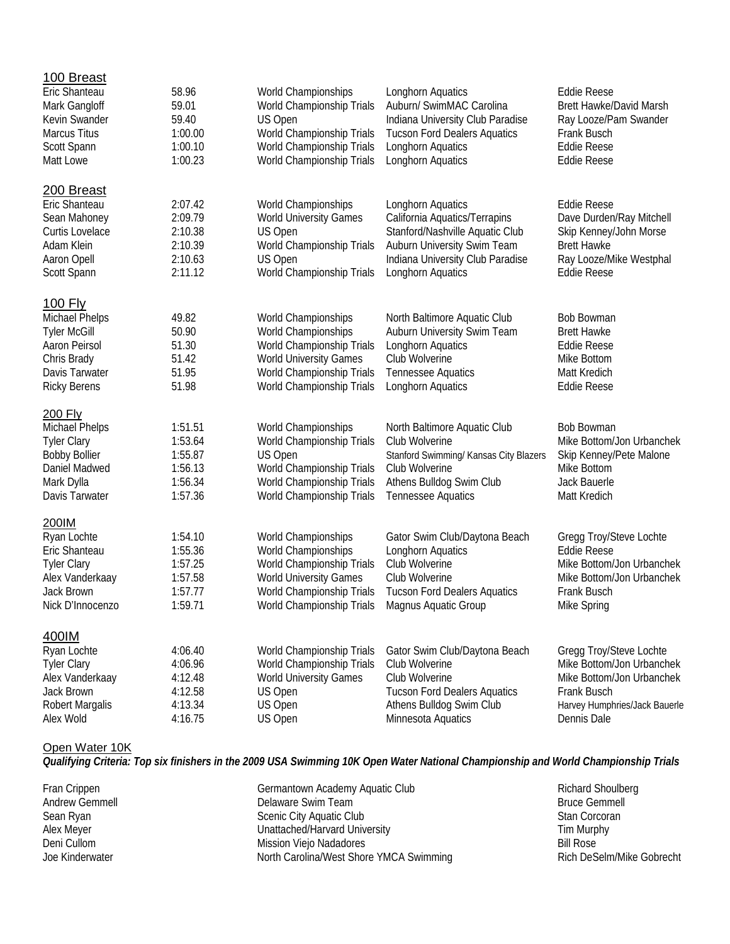| 100 Breast                    |         |                                                |                                        |                                |
|-------------------------------|---------|------------------------------------------------|----------------------------------------|--------------------------------|
| Eric Shanteau                 | 58.96   | World Championships                            | Longhorn Aquatics                      | <b>Eddie Reese</b>             |
| Mark Gangloff                 | 59.01   | World Championship Trials                      | Auburn/ SwimMAC Carolina               | <b>Brett Hawke/David Marsh</b> |
| Kevin Swander                 | 59.40   | US Open                                        | Indiana University Club Paradise       | Ray Looze/Pam Swander          |
| <b>Marcus Titus</b>           | 1:00.00 | World Championship Trials                      | <b>Tucson Ford Dealers Aquatics</b>    | Frank Busch                    |
| Scott Spann                   | 1:00.10 | World Championship Trials                      | Longhorn Aquatics                      | <b>Eddie Reese</b>             |
| Matt Lowe                     | 1:00.23 | World Championship Trials                      | Longhorn Aquatics                      | <b>Eddie Reese</b>             |
|                               |         |                                                |                                        |                                |
| 200 Breast                    |         |                                                |                                        |                                |
| Eric Shanteau                 | 2:07.42 | World Championships                            | Longhorn Aquatics                      | <b>Eddie Reese</b>             |
| Sean Mahoney                  | 2:09.79 | <b>World University Games</b>                  | California Aquatics/Terrapins          | Dave Durden/Ray Mitchell       |
| Curtis Lovelace               | 2:10.38 | US Open                                        | Stanford/Nashville Aquatic Club        | Skip Kenney/John Morse         |
| Adam Klein                    | 2:10.39 | World Championship Trials                      | Auburn University Swim Team            | <b>Brett Hawke</b>             |
| Aaron Opell                   | 2:10.63 | US Open                                        | Indiana University Club Paradise       | Ray Looze/Mike Westphal        |
|                               |         | World Championship Trials                      |                                        |                                |
| Scott Spann                   | 2:11.12 |                                                | Longhorn Aquatics                      | <b>Eddie Reese</b>             |
| <u>100 Fly</u>                |         |                                                |                                        |                                |
| Michael Phelps                | 49.82   | World Championships                            | North Baltimore Aquatic Club           | <b>Bob Bowman</b>              |
| <b>Tyler McGill</b>           | 50.90   | World Championships                            | Auburn University Swim Team            | <b>Brett Hawke</b>             |
| Aaron Peirsol                 | 51.30   | World Championship Trials                      | Longhorn Aquatics                      | <b>Eddie Reese</b>             |
|                               | 51.42   | <b>World University Games</b>                  | Club Wolverine                         | Mike Bottom                    |
| Chris Brady<br>Davis Tarwater |         |                                                |                                        |                                |
|                               | 51.95   | World Championship Trials                      | <b>Tennessee Aquatics</b>              | Matt Kredich                   |
| <b>Ricky Berens</b>           | 51.98   | World Championship Trials                      | Longhorn Aquatics                      | <b>Eddie Reese</b>             |
| 200 Fly                       |         |                                                |                                        |                                |
| Michael Phelps                | 1:51.51 | World Championships                            | North Baltimore Aquatic Club           | <b>Bob Bowman</b>              |
| <b>Tyler Clary</b>            | 1:53.64 | World Championship Trials                      | Club Wolverine                         | Mike Bottom/Jon Urbanchek      |
| <b>Bobby Bollier</b>          | 1:55.87 | US Open                                        | Stanford Swimming/ Kansas City Blazers | Skip Kenney/Pete Malone        |
| Daniel Madwed                 | 1:56.13 | World Championship Trials                      | Club Wolverine                         | Mike Bottom                    |
| Mark Dylla                    | 1:56.34 | World Championship Trials                      | Athens Bulldog Swim Club               | Jack Bauerle                   |
| Davis Tarwater                | 1:57.36 | World Championship Trials                      | <b>Tennessee Aquatics</b>              | Matt Kredich                   |
|                               |         |                                                |                                        |                                |
| 200IM                         |         |                                                |                                        |                                |
| Ryan Lochte                   | 1:54.10 | World Championships                            | Gator Swim Club/Daytona Beach          | Gregg Troy/Steve Lochte        |
| Eric Shanteau                 | 1:55.36 | World Championships                            | Longhorn Aquatics                      | <b>Eddie Reese</b>             |
| <b>Tyler Clary</b>            | 1:57.25 | World Championship Trials                      | Club Wolverine                         | Mike Bottom/Jon Urbanchek      |
| Alex Vanderkaay               | 1:57.58 | <b>World University Games</b>                  | Club Wolverine                         | Mike Bottom/Jon Urbanchek      |
| Jack Brown                    | 1:57.77 | World Championship Trials                      | <b>Tucson Ford Dealers Aquatics</b>    | Frank Busch                    |
| Nick D'Innocenzo              | 1:59.71 | World Championship Trials Magnus Aquatic Group |                                        | Mike Spring                    |
|                               |         |                                                |                                        |                                |
| 400IM                         |         |                                                |                                        |                                |
| Ryan Lochte                   | 4:06.40 | World Championship Trials                      | Gator Swim Club/Daytona Beach          | Gregg Troy/Steve Lochte        |
| <b>Tyler Clary</b>            | 4:06.96 | World Championship Trials                      | Club Wolverine                         | Mike Bottom/Jon Urbanchek      |
| Alex Vanderkaay               | 4:12.48 | <b>World University Games</b>                  | Club Wolverine                         | Mike Bottom/Jon Urbanchek      |
| Jack Brown                    | 4:12.58 | US Open                                        | <b>Tucson Ford Dealers Aquatics</b>    | Frank Busch                    |
| <b>Robert Margalis</b>        | 4:13.34 | US Open                                        | Athens Bulldog Swim Club               | Harvey Humphries/Jack Bauerle  |
| Alex Wold                     | 4:16.75 | US Open                                        | Minnesota Aquatics                     | Dennis Dale                    |
|                               |         |                                                |                                        |                                |

### Open Water 10K

*Qualifying Criteria: Top six finishers in the 2009 USA Swimming 10K Open Water National Championship and World Championship Trials*

| Fran Crippen    | Germantown Academy Aquatic Club         | Richard Shoulberg         |
|-----------------|-----------------------------------------|---------------------------|
| Andrew Gemmell  | Delaware Swim Team                      | <b>Bruce Gemmell</b>      |
| Sean Ryan       | Scenic City Aquatic Club                | Stan Corcoran             |
| Alex Meyer      | Unattached/Harvard University           | Tim Murphy                |
| Deni Cullom     | Mission Viejo Nadadores                 | Bill Rose                 |
| Joe Kinderwater | North Carolina/West Shore YMCA Swimming | Rich DeSelm/Mike Gobrecht |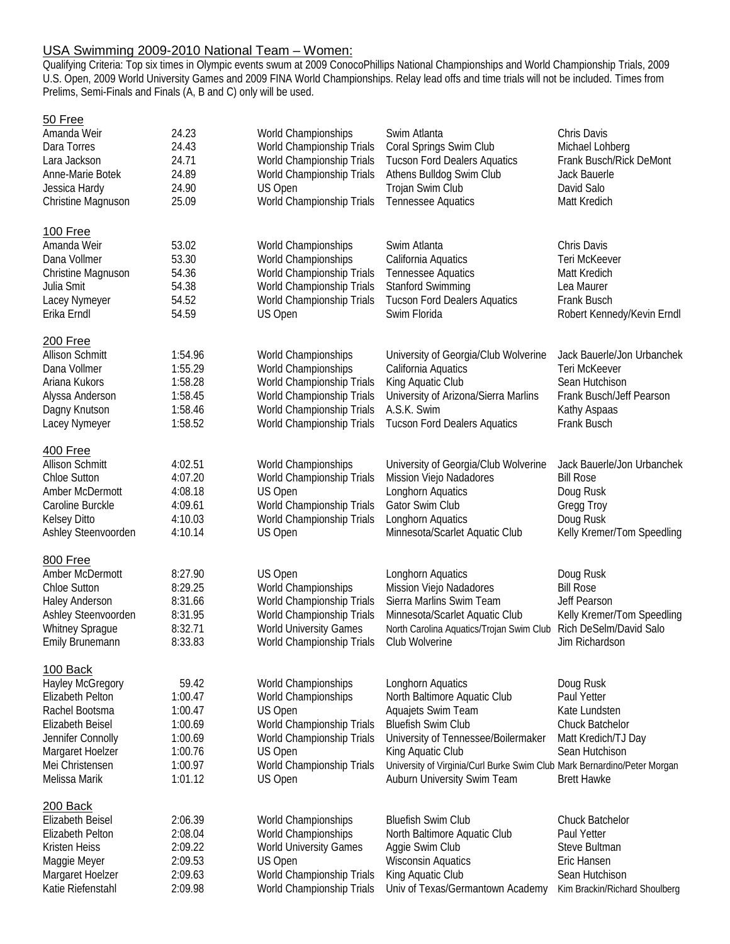# USA Swimming 2009-2010 National Team – Women:

Qualifying Criteria: Top six times in Olympic events swum at 2009 ConocoPhillips National Championships and World Championship Trials, 2009 U.S. Open, 2009 World University Games and 2009 FINA World Championships. Relay lead offs and time trials will not be included. Times from Prelims, Semi-Finals and Finals (A, B and C) only will be used.

# 50 Free

| Amanda Weir             | 24.23   | World Championships           | Swim Atlanta                                                             | Chris Davis                   |
|-------------------------|---------|-------------------------------|--------------------------------------------------------------------------|-------------------------------|
| Dara Torres             | 24.43   | World Championship Trials     | Coral Springs Swim Club                                                  | Michael Lohberg               |
| Lara Jackson            | 24.71   | World Championship Trials     | <b>Tucson Ford Dealers Aquatics</b>                                      | Frank Busch/Rick DeMont       |
| Anne-Marie Botek        | 24.89   | World Championship Trials     | Athens Bulldog Swim Club                                                 | Jack Bauerle                  |
| Jessica Hardy           | 24.90   | US Open                       | Trojan Swim Club                                                         | David Salo                    |
| Christine Magnuson      | 25.09   | World Championship Trials     | Tennessee Aquatics                                                       | Matt Kredich                  |
|                         |         |                               |                                                                          |                               |
| 100 Free                |         |                               |                                                                          |                               |
| Amanda Weir             | 53.02   | World Championships           | Swim Atlanta                                                             | Chris Davis                   |
| Dana Vollmer            | 53.30   | World Championships           | California Aquatics                                                      | Teri McKeever                 |
| Christine Magnuson      | 54.36   | World Championship Trials     | <b>Tennessee Aquatics</b>                                                | Matt Kredich                  |
| Julia Smit              | 54.38   | World Championship Trials     | <b>Stanford Swimming</b>                                                 | Lea Maurer                    |
|                         |         |                               |                                                                          |                               |
| Lacey Nymeyer           | 54.52   | World Championship Trials     | <b>Tucson Ford Dealers Aquatics</b>                                      | <b>Frank Busch</b>            |
| Erika Erndl             | 54.59   | US Open                       | Swim Florida                                                             | Robert Kennedy/Kevin Erndl    |
| 200 Free                |         |                               |                                                                          |                               |
| <b>Allison Schmitt</b>  | 1:54.96 | World Championships           | University of Georgia/Club Wolverine                                     | Jack Bauerle/Jon Urbanchek    |
| Dana Vollmer            | 1:55.29 | World Championships           | California Aquatics                                                      | Teri McKeever                 |
| Ariana Kukors           | 1:58.28 | World Championship Trials     | King Aquatic Club                                                        | Sean Hutchison                |
|                         | 1:58.45 | World Championship Trials     | University of Arizona/Sierra Marlins                                     | Frank Busch/Jeff Pearson      |
| Alyssa Anderson         |         |                               |                                                                          |                               |
| Dagny Knutson           | 1:58.46 | World Championship Trials     | A.S.K. Swim                                                              | Kathy Aspaas                  |
| Lacey Nymeyer           | 1:58.52 | World Championship Trials     | <b>Tucson Ford Dealers Aquatics</b>                                      | Frank Busch                   |
| 400 Free                |         |                               |                                                                          |                               |
| <b>Allison Schmitt</b>  | 4:02.51 | World Championships           | University of Georgia/Club Wolverine                                     | Jack Bauerle/Jon Urbanchek    |
| <b>Chloe Sutton</b>     | 4:07.20 | World Championship Trials     | Mission Viejo Nadadores                                                  | <b>Bill Rose</b>              |
| Amber McDermott         | 4:08.18 | US Open                       | Longhorn Aquatics                                                        | Doug Rusk                     |
| Caroline Burckle        | 4:09.61 | World Championship Trials     | Gator Swim Club                                                          | Gregg Troy                    |
| <b>Kelsey Ditto</b>     | 4:10.03 | World Championship Trials     | Longhorn Aquatics                                                        | Doug Rusk                     |
| Ashley Steenvoorden     | 4:10.14 | US Open                       | Minnesota/Scarlet Aquatic Club                                           | Kelly Kremer/Tom Speedling    |
|                         |         |                               |                                                                          |                               |
| 800 Free                |         |                               |                                                                          |                               |
| Amber McDermott         | 8:27.90 | US Open                       | Longhorn Aquatics                                                        | Doug Rusk                     |
| <b>Chloe Sutton</b>     | 8:29.25 | World Championships           | Mission Viejo Nadadores                                                  | <b>Bill Rose</b>              |
| <b>Haley Anderson</b>   | 8:31.66 | World Championship Trials     | Sierra Marlins Swim Team                                                 | Jeff Pearson                  |
| Ashley Steenvoorden     | 8:31.95 | World Championship Trials     | Minnesota/Scarlet Aquatic Club                                           | Kelly Kremer/Tom Speedling    |
| <b>Whitney Sprague</b>  | 8:32.71 | <b>World University Games</b> | North Carolina Aquatics/Trojan Swim Club                                 | Rich DeSelm/David Salo        |
| Emily Brunemann         | 8:33.83 | World Championship Trials     | Club Wolverine                                                           | Jim Richardson                |
|                         |         |                               |                                                                          |                               |
| 100 Back                |         |                               |                                                                          |                               |
| <b>Hayley McGregory</b> | 59.42   | World Championships           | Longhorn Aquatics                                                        | Doug Rusk                     |
| Elizabeth Pelton        | 1:00.47 | World Championships           | North Baltimore Aquatic Club                                             | Paul Yetter                   |
| Rachel Bootsma          | 1:00.47 | US Open                       | Aquajets Swim Team                                                       | Kate Lundsten                 |
| <b>Elizabeth Beisel</b> | 1:00.69 | World Championship Trials     | <b>Bluefish Swim Club</b>                                                | Chuck Batchelor               |
| Jennifer Connolly       | 1:00.69 | World Championship Trials     | University of Tennessee/Boilermaker                                      | Matt Kredich/TJ Day           |
| Margaret Hoelzer        | 1:00.76 | US Open                       | King Aquatic Club                                                        | Sean Hutchison                |
| Mei Christensen         | 1:00.97 | World Championship Trials     | University of Virginia/Curl Burke Swim Club Mark Bernardino/Peter Morgan |                               |
| Melissa Marik           | 1:01.12 | US Open                       | Auburn University Swim Team                                              | <b>Brett Hawke</b>            |
|                         |         |                               |                                                                          |                               |
| 200 Back                |         |                               |                                                                          |                               |
| Elizabeth Beisel        | 2:06.39 | World Championships           | <b>Bluefish Swim Club</b>                                                | Chuck Batchelor               |
| Elizabeth Pelton        | 2:08.04 | World Championships           | North Baltimore Aquatic Club                                             | Paul Yetter                   |
| Kristen Heiss           | 2:09.22 | <b>World University Games</b> | Aggie Swim Club                                                          | Steve Bultman                 |
| Maggie Meyer            | 2:09.53 | US Open                       | <b>Wisconsin Aquatics</b>                                                | Eric Hansen                   |
| Margaret Hoelzer        | 2:09.63 | World Championship Trials     | King Aquatic Club                                                        | Sean Hutchison                |
| Katie Riefenstahl       | 2:09.98 | World Championship Trials     | Univ of Texas/Germantown Academy                                         | Kim Brackin/Richard Shoulberg |
|                         |         |                               |                                                                          |                               |